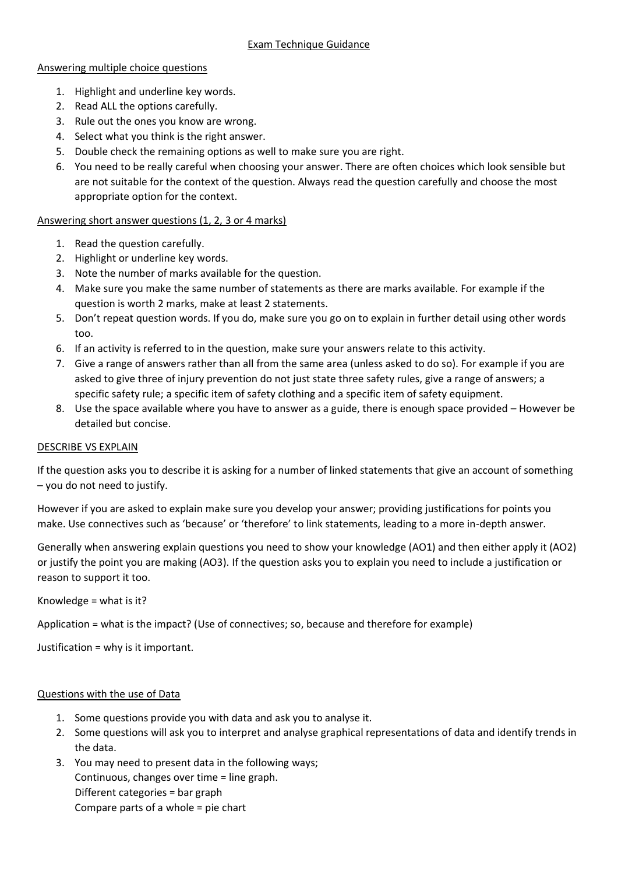#### Answering multiple choice questions

- 1. Highlight and underline key words.
- 2. Read ALL the options carefully.
- 3. Rule out the ones you know are wrong.
- 4. Select what you think is the right answer.
- 5. Double check the remaining options as well to make sure you are right.
- 6. You need to be really careful when choosing your answer. There are often choices which look sensible but are not suitable for the context of the question. Always read the question carefully and choose the most appropriate option for the context.

# Answering short answer questions (1, 2, 3 or 4 marks)

- 1. Read the question carefully.
- 2. Highlight or underline key words.
- 3. Note the number of marks available for the question.
- 4. Make sure you make the same number of statements as there are marks available. For example if the question is worth 2 marks, make at least 2 statements.
- 5. Don't repeat question words. If you do, make sure you go on to explain in further detail using other words too.
- 6. If an activity is referred to in the question, make sure your answers relate to this activity.
- 7. Give a range of answers rather than all from the same area (unless asked to do so). For example if you are asked to give three of injury prevention do not just state three safety rules, give a range of answers; a specific safety rule; a specific item of safety clothing and a specific item of safety equipment.
- 8. Use the space available where you have to answer as a guide, there is enough space provided However be detailed but concise.

# DESCRIBE VS EXPLAIN

If the question asks you to describe it is asking for a number of linked statements that give an account of something – you do not need to justify.

However if you are asked to explain make sure you develop your answer; providing justifications for points you make. Use connectives such as 'because' or 'therefore' to link statements, leading to a more in-depth answer.

Generally when answering explain questions you need to show your knowledge (AO1) and then either apply it (AO2) or justify the point you are making (AO3). If the question asks you to explain you need to include a justification or reason to support it too.

Knowledge = what is it?

Application = what is the impact? (Use of connectives; so, because and therefore for example)

Justification = why is it important.

# Questions with the use of Data

- 1. Some questions provide you with data and ask you to analyse it.
- 2. Some questions will ask you to interpret and analyse graphical representations of data and identify trends in the data.
- 3. You may need to present data in the following ways; Continuous, changes over time = line graph. Different categories = bar graph Compare parts of a whole = pie chart